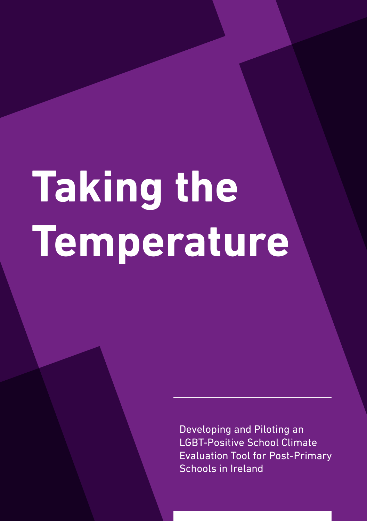# **Taking the Temperature**

Developing and Piloting an LGBT-Positive School Climate Evaluation Tool for Post-Primary Schools in Ireland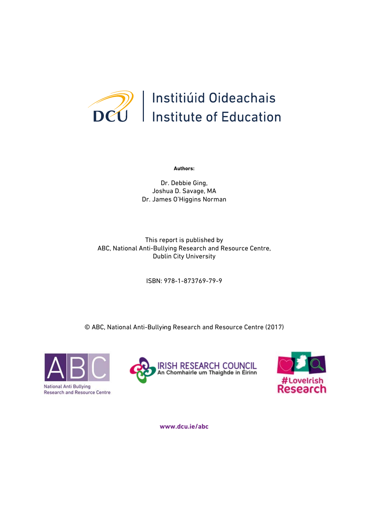

**Authors:**

Dr. Debbie Ging, Joshua D. Savage, MA Dr. James O'Higgins Norman

This report is published by ABC, National Anti-Bullying Research and Resource Centre, Dublin City University

ISBN: 978-1-873769-79-9

- © ABC, National Anti-Bullying Research and Resource Centre (2017)







**www.dcu.ie/abc**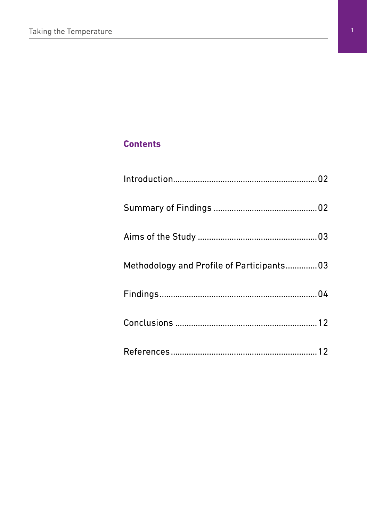# **Contents**

| Methodology and Profile of Participants03 |  |
|-------------------------------------------|--|
|                                           |  |
|                                           |  |
|                                           |  |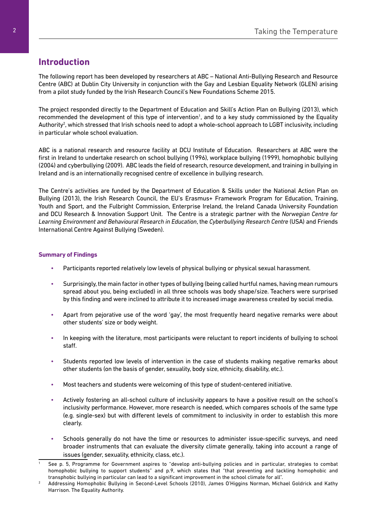# **Introduction**

The following report has been developed by researchers at ABC – National Anti-Bullying Research and Resource Centre (ABC) at Dublin City University in conjunction with the Gay and Lesbian Equality Network (GLEN) arising from a pilot study funded by the Irish Research Council's New Foundations Scheme 2015.

The project responded directly to the Department of Education and Skill's Action Plan on Bullying (2013), which recommended the development of this type of intervention<sup>1</sup>, and to a key study commissioned by the Equality Authority<sup>2</sup>, which stressed that Irish schools need to adopt a whole-school approach to LGBT inclusivity, including in particular whole school evaluation.

ABC is a national research and resource facility at DCU Institute of Education. Researchers at ABC were the first in Ireland to undertake research on school bullying (1996), workplace bullying (1999), homophobic bullying (2004) and cyberbullying (2009). ABC leads the field of research, resource development, and training in bullying in Ireland and is an internationally recognised centre of excellence in bullying research.

The Centre's activities are funded by the Department of Education & Skills under the National Action Plan on Bullying (2013), the Irish Research Council, the EU's Erasmus+ Framework Program for Education, Training, Youth and Sport, and the Fulbright Commission, Enterprise Ireland, the Ireland Canada University Foundation and DCU Research & Innovation Support Unit. The Centre is a strategic partner with the *Norwegian Centre for Learning Environment and Behavioural Research in Education*, the *Cyberbullying Research Centre* (USA) and Friends International Centre Against Bullying (Sweden).

#### **Summary of Findings**

- Participants reported relatively low levels of physical bullying or physical sexual harassment.
- Surprisingly, the main factor in other types of bullying (being called hurtful names, having mean rumours spread about you, being excluded) in all three schools was body shape/size. Teachers were surprised by this finding and were inclined to attribute it to increased image awareness created by social media.
- Apart from pejorative use of the word 'gay', the most frequently heard negative remarks were about other students' size or body weight.
- In keeping with the literature, most participants were reluctant to report incidents of bullying to school staff.
- Students reported low levels of intervention in the case of students making negative remarks about other students (on the basis of gender, sexuality, body size, ethnicity, disability, etc.).
- Most teachers and students were welcoming of this type of student-centered initiative.
- Actively fostering an all-school culture of inclusivity appears to have a positive result on the school's inclusivity performance. However, more research is needed, which compares schools of the same type (e.g. single-sex) but with different levels of commitment to inclusivity in order to establish this more clearly.
- Schools generally do not have the time or resources to administer issue-specific surveys, and need broader instruments that can evaluate the diversity climate generally, taking into account a range of issues (gender, sexuality, ethnicity, class, etc.).

<sup>1</sup> See p. 5, Programme for Government aspires to "develop anti-bullying policies and in particular, strategies to combat homophobic bullying to support students" and p.9, which states that "that preventing and tackling homophobic and transphobic bullying in particular can lead to a significant improvement in the school climate for all".

<sup>2</sup> Addressing Homophobic Bullying in Second-Level Schools (2010), James O'Higgins Norman, Michael Goldrick and Kathy Harrison. The Equality Authority.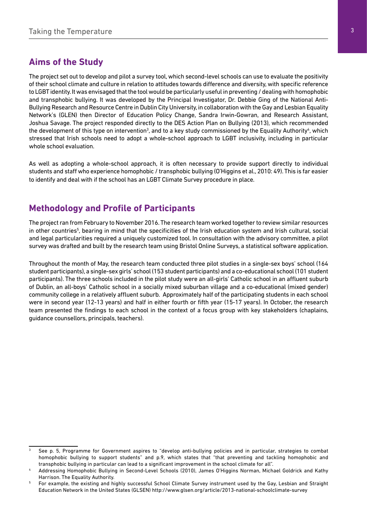## **Aims of the Study**

The project set out to develop and pilot a survey tool, which second-level schools can use to evaluate the positivity of their school climate and culture in relation to attitudes towards difference and diversity, with specific reference to LGBT identity. It was envisaged that the tool would be particularly useful in preventing / dealing with homophobic and transphobic bullying. It was developed by the Principal Investigator, Dr. Debbie Ging of the National Anti-Bullying Research and Resource Centre in Dublin City University, in collaboration with the Gay and Lesbian Equality Network's (GLEN) then Director of Education Policy Change, Sandra Irwin-Gowran, and Research Assistant, Joshua Savage. The project responded directly to the DES Action Plan on Bullying (2013), which recommended the development of this type on intervention<sup>3</sup>, and to a key study commissioned by the Equality Authority<sup>4</sup>, which stressed that Irish schools need to adopt a whole-school approach to LGBT inclusivity, including in particular whole school evaluation.

As well as adopting a whole-school approach, it is often necessary to provide support directly to individual students and staff who experience homophobic / transphobic bullying (O'Higgins et al., 2010: 49). This is far easier to identify and deal with if the school has an LGBT Climate Survey procedure in place.

# **Methodology and Profile of Participants**

The project ran from February to November 2016. The research team worked together to review similar resources in other countries<sup>5</sup>, bearing in mind that the specificities of the Irish education system and Irish cultural, social and legal particularities required a uniquely customized tool. In consultation with the advisory committee, a pilot survey was drafted and built by the research team using Bristol Online Surveys, a statistical software application.

Throughout the month of May, the research team conducted three pilot studies in a single-sex boys' school (164 student participants), a single-sex girls' school (153 student participants) and a co-educational school (101 student participants). The three schools included in the pilot study were an all-girls' Catholic school in an affluent suburb of Dublin, an all-boys' Catholic school in a socially mixed suburban village and a co-educational (mixed gender) community college in a relatively affluent suburb. Approximately half of the participating students in each school were in second year (12-13 years) and half in either fourth or fifth year (15-17 years). In October, the research team presented the findings to each school in the context of a focus group with key stakeholders (chaplains, guidance counsellors, principals, teachers).

<sup>3</sup> See p. 5, Programme for Government aspires to "develop anti-bullying policies and in particular, strategies to combat homophobic bullying to support students" and p.9, which states that "that preventing and tackling homophobic and transphobic bullying in particular can lead to a significant improvement in the school climate for all".

<sup>4</sup> Addressing Homophobic Bullying in Second-Level Schools (2010), James O'Higgins Norman, Michael Goldrick and Kathy Harrison. The Equality Authority.

<sup>5</sup> For example, the existing and highly successful School Climate Survey instrument used by the Gay, Lesbian and Straight Education Network in the United States (GLSEN) http://www.glsen.org/article/2013-national-schoolclimate-survey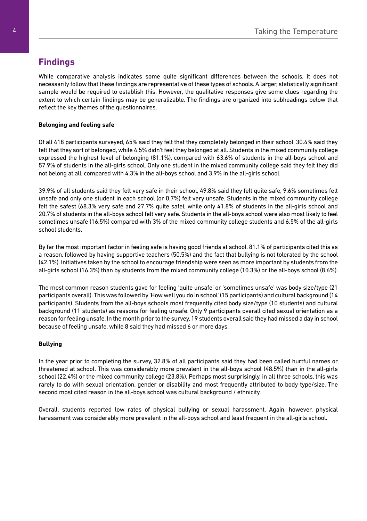# **Findings**

While comparative analysis indicates some quite significant differences between the schools, it does not necessarily follow that these findings are representative of these types of schools. A larger, statistically significant sample would be required to establish this. However, the qualitative responses give some clues regarding the extent to which certain findings may be generalizable. The findings are organized into subheadings below that reflect the key themes of the questionnaires.

#### **Belonging and feeling safe**

Of all 418 participants surveyed, 65% said they felt that they completely belonged in their school, 30.4% said they felt that they sort of belonged, while 4.5% didn't feel they belonged at all. Students in the mixed community college expressed the highest level of belonging (81.1%), compared with 63.6% of students in the all-boys school and 57.9% of students in the all-girls school. Only one student in the mixed community college said they felt they did not belong at all, compared with 4.3% in the all-boys school and 3.9% in the all-girls school.

39.9% of all students said they felt very safe in their school, 49.8% said they felt quite safe, 9.6% sometimes felt unsafe and only one student in each school (or 0.7%) felt very unsafe. Students in the mixed community college felt the safest (68.3% very safe and 27.7% quite safe), while only 41.8% of students in the all-girls school and 20.7% of students in the all-boys school felt very safe. Students in the all-boys school were also most likely to feel sometimes unsafe (16.5%) compared with 3% of the mixed community college students and 6.5% of the all-girls school students.

By far the most important factor in feeling safe is having good friends at school. 81.1% of participants cited this as a reason, followed by having supportive teachers (50.5%) and the fact that bullying is not tolerated by the school (42.1%). Initiatives taken by the school to encourage friendship were seen as more important by students from the all-girls school (16.3%) than by students from the mixed community college (10.3%) or the all-boys school (8.6%).

The most common reason students gave for feeling 'quite unsafe' or 'sometimes unsafe' was body size/type (21 participants overall). This was followed by 'How well you do in school' (15 participants) and cultural background (14 participants). Students from the all-boys schools most frequently cited body size/type (10 students) and cultural background (11 students) as reasons for feeling unsafe. Only 9 participants overall cited sexual orientation as a reason for feeling unsafe. In the month prior to the survey, 19 students overall said they had missed a day in school because of feeling unsafe, while 8 said they had missed 6 or more days.

#### **Bullying**

In the year prior to completing the survey, 32.8% of all participants said they had been called hurtful names or threatened at school. This was considerably more prevalent in the all-boys school (48.5%) than in the all-girls school (22.4%) or the mixed community college (23.8%). Perhaps most surprisingly, in all three schools, this was rarely to do with sexual orientation, gender or disability and most frequently attributed to body type/size. The second most cited reason in the all-boys school was cultural background / ethnicity.

Overall, students reported low rates of physical bullying or sexual harassment. Again, however, physical harassment was considerably more prevalent in the all-boys school and least frequent in the all-girls school.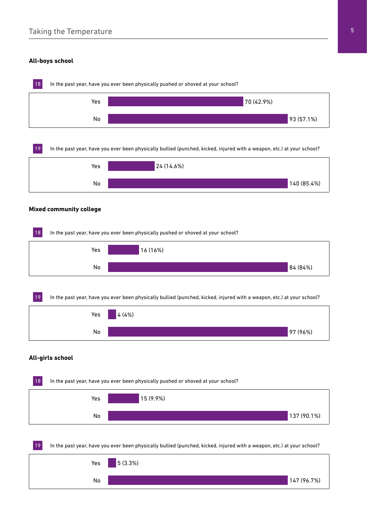### Taking the Temperature 5 and 5 and 5 and 5 and 5 and 5 and 5 and 5 and 5 and 5 and 5 and 5 and 5 and 5 and 5 and 5 and 5 and 5 and 5 and 5 and 5 and 5 and 5 and 5 and 5 and 5 and 5 and 5 and 5 and 5 and 5 and 5 and 5 and 5

#### **All-boys school**

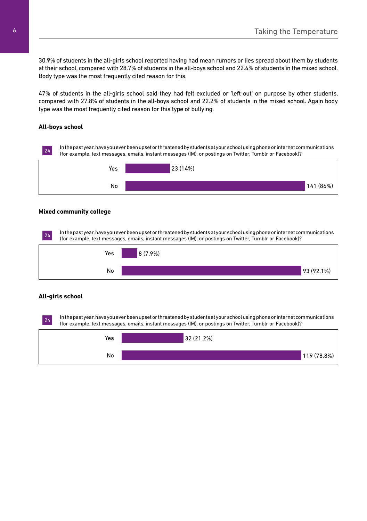30.9% of students in the all-girls school reported having had mean rumors or lies spread about them by students at their school, compared with 28.7% of students in the all-boys school and 22.4% of students in the mixed school. Body type was the most frequently cited reason for this.

47% of students in the all-girls school said they had felt excluded or 'left out' on purpose by other students, compared with 27.8% of students in the all-boys school and 22.2% of students in the mixed school. Again body type was the most frequently cited reason for this type of bullying.

#### **All-boys school**



#### **Mixed community college**

24 In the past year, have you ever been upset or threatened by students at your school using phone or internet communications (for example, text messages, emails, instant messages (IM), or postings on Twitter, Tumblr or Facebook)?



#### **All-girls school**

24 In the past year, have you ever been upset or threatened by students at your school using phone or internet communications (for example, text messages, emails, instant messages (IM), or postings on Twitter, Tumblr or Facebook)?

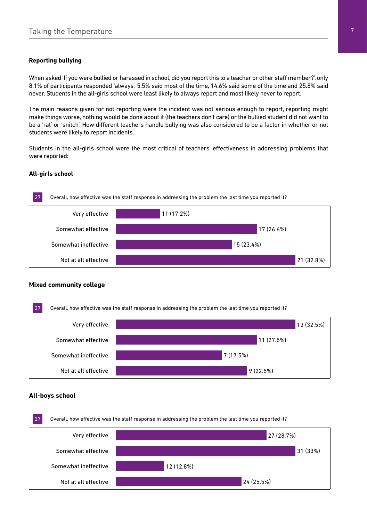#### **Reporting bullying**

When asked 'If you were bullied or harassed in school, did you report this to a teacher or other staff member?', only 8.1% of participants responded 'always'. 5.5% said most of the time, 14.6% said some of the time and 25.8% said never. Students in the all-girls school were least likely to always report and most likely never to report.

The main reasons given for not reporting were the incident was not serious enough to report, reporting might make things worse, nothing would be done about it (the teachers don't care) or the bullied student did not want to be a 'rat' or 'snitch'. How different teachers handle bullying was also considered to be a factor in whether or not students were likely to report incidents.

Students in the all-girls school were the most critical of teachers' effectiveness in addressing problems that were reported:

#### **All-girls school**



#### **Mixed community college**



#### **All-boys school**

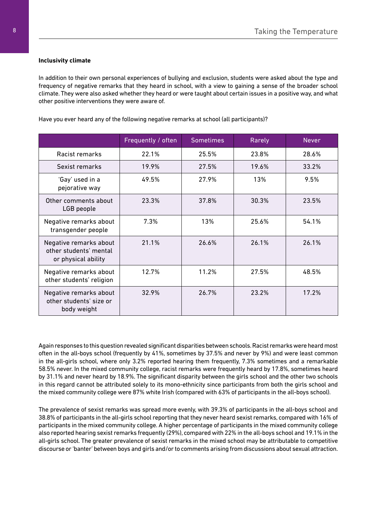#### **Inclusivity climate**

In addition to their own personal experiences of bullying and exclusion, students were asked about the type and frequency of negative remarks that they heard in school, with a view to gaining a sense of the broader school climate. They were also asked whether they heard or were taught about certain issues in a positive way, and what other positive interventions they were aware of.

Have you ever heard any of the following negative remarks at school (all participants)?

|                                                                         | Frequently / often | <b>Sometimes</b> | Rarely | <b>Never</b> |
|-------------------------------------------------------------------------|--------------------|------------------|--------|--------------|
| Racist remarks                                                          | 22.1%              | 25.5%            | 23.8%  | 28.6%        |
| Sexist remarks                                                          | 19.9%              | 27.5%            | 19.6%  | 33.2%        |
| 'Gay' used in a<br>pejorative way                                       | 49.5%              | 27.9%            | 13%    | 9.5%         |
| Other comments about<br>LGB people                                      | 23.3%              | 37.8%            | 30.3%  | 23.5%        |
| Negative remarks about<br>transgender people                            | 7.3%               | 13%              | 25.6%  | 54.1%        |
| Negative remarks about<br>other students' mental<br>or physical ability | 21.1%              | 26.6%            | 26.1%  | 26.1%        |
| Negative remarks about<br>other students' religion                      | 12.7%              | 11.2%            | 27.5%  | 48.5%        |
| Negative remarks about<br>other students' size or<br>body weight        | 32.9%              | 26.7%            | 23.2%  | 17.2%        |

Again responses to this question revealed significant disparities between schools. Racist remarks were heard most often in the all-boys school (frequently by 41%, sometimes by 37.5% and never by 9%) and were least common in the all-girls school, where only 3.2% reported hearing them frequently, 7.3% sometimes and a remarkable 58.5% never. In the mixed community college, racist remarks were frequently heard by 17.8%, sometimes heard by 31.1% and never heard by 18.9%. The significant disparity between the girls school and the other two schools in this regard cannot be attributed solely to its mono-ethnicity since participants from both the girls school and the mixed community college were 87% white Irish (compared with 63% of participants in the all-boys school).

The prevalence of sexist remarks was spread more evenly, with 39.3% of participants in the all-boys school and 38.8% of participants in the all-girls school reporting that they never heard sexist remarks, compared with 16% of participants in the mixed community college. A higher percentage of participants in the mixed community college also reported hearing sexist remarks frequently (29%), compared with 22% in the all-boys school and 19.1% in the all-girls school. The greater prevalence of sexist remarks in the mixed school may be attributable to competitive discourse or 'banter' between boys and girls and/or to comments arising from discussions about sexual attraction.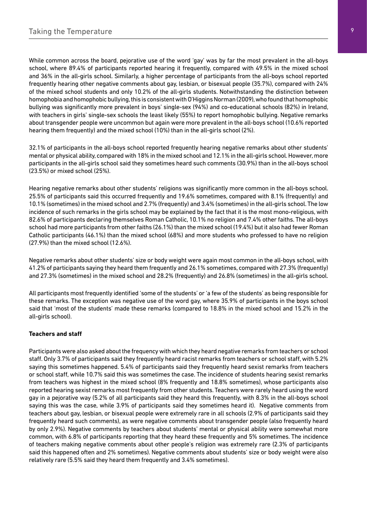While common across the board, pejorative use of the word 'gay' was by far the most prevalent in the all-boys school, where 89.4% of participants reported hearing it frequently, compared with 49.5% in the mixed school and 36% in the all-girls school. Similarly, a higher percentage of participants from the all-boys school reported frequently hearing other negative comments about gay, lesbian, or bisexual people (35.7%), compared with 24% of the mixed school students and only 10.2% of the all-girls students. Notwithstanding the distinction between homophobia and homophobic bullying, this is consistent with O'Higgins Norman (2009), who found that homophobic bullying was significantly more prevalent in boys' single-sex (94%) and co-educational schools (82%) in Ireland, with teachers in girls' single-sex schools the least likely (55%) to report homophobic bullying. Negative remarks about transgender people were uncommon but again were more prevalent in the all-boys school (10.6% reported hearing them frequently) and the mixed school (10%) than in the all-girls school (2%).

32.1% of participants in the all-boys school reported frequently hearing negative remarks about other students' mental or physical ability, compared with 18% in the mixed school and 12.1% in the all-girls school. However, more participants in the all-girls school said they sometimes heard such comments (30.9%) than in the all-boys school (23.5%) or mixed school (25%).

Hearing negative remarks about other students' religions was significantly more common in the all-boys school. 25.5% of participants said this occurred frequently and 19.6% sometimes, compared with 8.1% (frequently) and 10.1% (sometimes) in the mixed school and 2.7% (frequently) and 3.4% (sometimes) in the all-girls school. The low incidence of such remarks in the girls school may be explained by the fact that it is the most mono-religious, with 82.6% of participants declaring themselves Roman Catholic, 10.1% no religion and 7.4% other faiths. The all-boys school had more participants from other faiths (26.1%) than the mixed school (19.4%) but it also had fewer Roman Catholic participants (46.1%) than the mixed school (68%) and more students who professed to have no religion (27.9%) than the mixed school (12.6%).

Negative remarks about other students' size or body weight were again most common in the all-boys school, with 41.2% of participants saying they heard them frequently and 26.1% sometimes, compared with 27.3% (frequently) and 27.3% (sometimes) in the mixed school and 28.2% (frequently) and 26.8% (sometimes) in the all-girls school.

All participants most frequently identified 'some of the students' or 'a few of the students' as being responsible for these remarks. The exception was negative use of the word gay, where 35.9% of participants in the boys school said that 'most of the students' made these remarks (compared to 18.8% in the mixed school and 15.2% in the all-girls school).

#### **Teachers and staff**

Participants were also asked about the frequency with which they heard negative remarks from teachers or school staff. Only 3.7% of participants said they frequently heard racist remarks from teachers or school staff, with 5.2% saying this sometimes happened. 5.4% of participants said they frequently heard sexist remarks from teachers or school staff, while 10.7% said this was sometimes the case. The incidence of students hearing sexist remarks from teachers was highest in the mixed school (8% frequently and 18.8% sometimes), whose participants also reported hearing sexist remarks most frequently from other students. Teachers were rarely heard using the word gay in a pejorative way (5.2% of all participants said they heard this frequently, with 8.3% in the all-boys school saying this was the case, while 3.9% of participants said they sometimes heard it). Negative comments from teachers about gay, lesbian, or bisexual people were extremely rare in all schools (2.9% of participants said they frequently heard such comments), as were negative comments about transgender people (also frequently heard by only 2.9%). Negative comments by teachers about students' mental or physical ability were somewhat more common, with 6.8% of participants reporting that they heard these frequently and 5% sometimes. The incidence of teachers making negative comments about other people's religion was extremely rare (2.3% of participants said this happened often and 2% sometimes). Negative comments about students' size or body weight were also relatively rare (5.5% said they heard them frequently and 3.4% sometimes).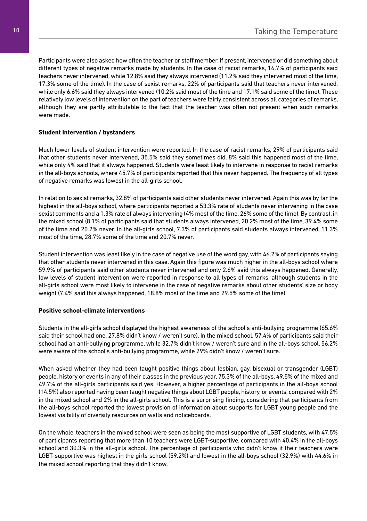Participants were also asked how often the teacher or staff member, if present, intervened or did something about different types of negative remarks made by students. In the case of racist remarks, 16.7% of participants said teachers never intervened, while 12.8% said they always intervened (11.2% said they intervened most of the time, 17.3% some of the time). In the case of sexist remarks, 22% of participants said that teachers never intervened, while only 6.6% said they always intervened (10.2% said most of the time and 17.1% said some of the time). These relatively low levels of intervention on the part of teachers were fairly consistent across all categories of remarks, although they are partly attributable to the fact that the teacher was often not present when such remarks were made.

#### **Student intervention / bystanders**

Much lower levels of student intervention were reported. In the case of racist remarks, 29% of participants said that other students never intervened, 35.5% said they sometimes did, 8% said this happened most of the time, while only 4% said that it always happened. Students were least likely to intervene in response to racist remarks in the all-boys schools, where 45.7% of participants reported that this never happened. The frequency of all types of negative remarks was lowest in the all-girls school.

In relation to sexist remarks, 32.8% of participants said other students never intervened. Again this was by far the highest in the all-boys school, where participants reported a 53.3% rate of students never intervening in the case sexist comments and a 1.3% rate of always intervening (4% most of the time, 26% some of the time). By contrast, in the mixed school (8.1% of participants said that students always intervened, 20.2% most of the time, 39.4% some of the time and 20.2% never. In the all-girls school, 7.3% of participants said students always intervened, 11.3% most of the time, 28.7% some of the time and 20.7% never.

Student intervention was least likely in the case of negative use of the word gay, with 46.2% of participants saying that other students never intervened in this case. Again this figure was much higher in the all-boys school where 59.9% of participants said other students never intervened and only 2.6% said this always happened. Generally, low levels of student intervention were reported in response to all types of remarks, although students in the all-girls school were most likely to intervene in the case of negative remarks about other students' size or body weight (7.4% said this always happened, 18.8% most of the time and 29.5% some of the time).

#### **Positive school-climate interventions**

Students in the all-girls school displayed the highest awareness of the school's anti-bullying programme (65.6% said their school had one, 27.8% didn't know / weren't sure). In the mixed school, 57.4% of participants said their school had an anti-bullying programme, while 32.7% didn't know / weren't sure and in the all-boys school, 56.2% were aware of the school's anti-bullying programme, while 29% didn't know / weren't sure.

When asked whether they had been taught positive things about lesbian, gay, bisexual or transgender (LGBT) people, history or events in any of their classes in the previous year, 75.3% of the all-boys, 49.5% of the mixed and 49.7% of the all-girls participants said yes. However, a higher percentage of participants in the all-boys school (14.5%) also reported having been taught negative things about LGBT people, history, or events, compared with 2% in the mixed school and 2% in the all-girls school. This is a surprising finding, considering that participants from the all-boys school reported the lowest provision of information about supports for LGBT young people and the lowest visibility of diversity resources on walls and noticeboards.

On the whole, teachers in the mixed school were seen as being the most supportive of LGBT students, with 47.5% of participants reporting that more than 10 teachers were LGBT-supportive, compared with 40.4% in the all-boys school and 30.3% in the all-girls school. The percentage of participants who didn't know if their teachers were LGBT-supportive was highest in the girls school (59.2%) and lowest in the all-boys school (32.9%) with 44.6% in the mixed school reporting that they didn't know.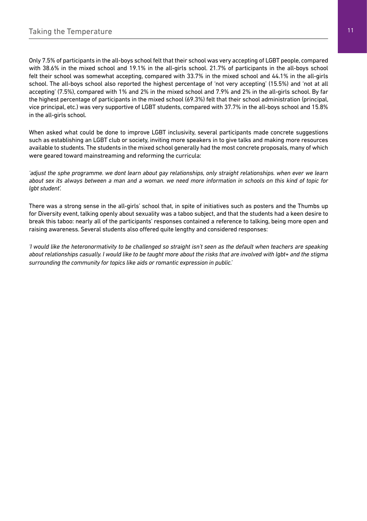Only 7.5% of participants in the all-boys school felt that their school was very accepting of LGBT people, compared with 38.6% in the mixed school and 19.1% in the all-girls school. 21.7% of participants in the all-boys school felt their school was somewhat accepting, compared with 33.7% in the mixed school and 44.1% in the all-girls school. The all-boys school also reported the highest percentage of 'not very accepting' (15.5%) and 'not at all accepting' (7.5%), compared with 1% and 2% in the mixed school and 7.9% and 2% in the all-girls school. By far the highest percentage of participants in the mixed school (69.3%) felt that their school administration (principal, vice principal, etc.) was very supportive of LGBT students, compared with 37.7% in the all-boys school and 15.8% in the all-girls school.

When asked what could be done to improve LGBT inclusivity, several participants made concrete suggestions such as establishing an LGBT club or society, inviting more speakers in to give talks and making more resources available to students. The students in the mixed school generally had the most concrete proposals, many of which were geared toward mainstreaming and reforming the curricula:

*'adjust the sphe programme. we dont learn about gay relationships, only straight relationships. when ever we learn about sex its always between a man and a woman. we need more information in schools on this kind of topic for lgbt student'.*

There was a strong sense in the all-girls' school that, in spite of initiatives such as posters and the Thumbs up for Diversity event, talking openly about sexuality was a taboo subject, and that the students had a keen desire to break this taboo: nearly all of the participants' responses contained a reference to talking, being more open and raising awareness. Several students also offered quite lengthy and considered responses:

*'I would like the heteronormativity to be challenged so straight isn't seen as the default when teachers are speaking about relationships casually. I would like to be taught more about the risks that are involved with lgbt+ and the stigma surrounding the community for topics like aids or romantic expression in public.'*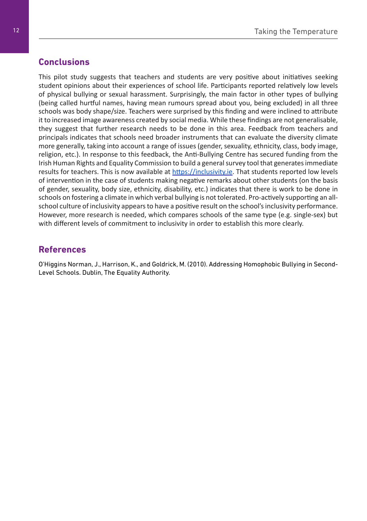# **Conclusions**

This pilot study suggests that teachers and students are very positive about initiatives seeking student opinions about their experiences of school life. Participants reported relatively low levels of physical bullying or sexual harassment. Surprisingly, the main factor in other types of bullying (being called hurtful names, having mean rumours spread about you, being excluded) in all three schools was body shape/size. Teachers were surprised by this finding and were inclined to attribute it to increased image awareness created by social media. While these findings are not generalisable, they suggest that further research needs to be done in this area. Feedback from teachers and principals indicates that schools need broader instruments that can evaluate the diversity climate more generally, taking into account a range of issues (gender, sexuality, ethnicity, class, body image, religion, etc.). In response to this feedback, the Anti-Bullying Centre has secured funding from the Irish Human Rights and Equality Commission to build a general survey tool that generates immediate results for teachers. This is now available at https://inclusivity.ie. That students reported low levels of intervention in the case of students making negative remarks about other students (on the basis of gender, sexuality, body size, ethnicity, disability, etc.) indicates that there is work to be done in schools on fostering a climate in which verbal bullying is not tolerated. Pro-actively supporting an allschool culture of inclusivity appears to have a positive result on the school's inclusivity performance. However, more research is needed, which compares schools of the same type (e.g. single-sex) but with different levels of commitment to inclusivity in order to establish this more clearly.

# **References**

O'Higgins Norman, J., Harrison, K., and Goldrick, M. (2010). Addressing Homophobic Bullying in Second-Level Schools. Dublin, The Equality Authority.